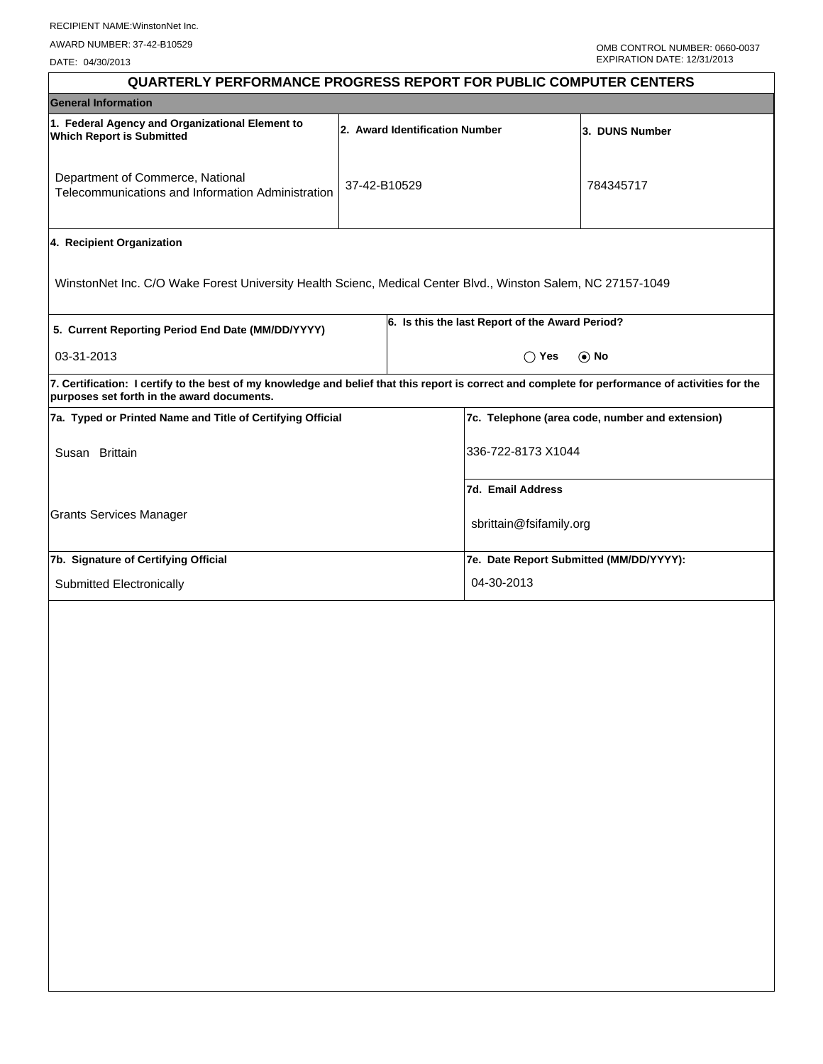DATE: 04/30/2013

| <b>QUARTERLY PERFORMANCE PROGRESS REPORT FOR PUBLIC COMPUTER CENTERS</b>                                                                                                                        |                                |                                                 |                                                 |  |  |
|-------------------------------------------------------------------------------------------------------------------------------------------------------------------------------------------------|--------------------------------|-------------------------------------------------|-------------------------------------------------|--|--|
| <b>General Information</b>                                                                                                                                                                      |                                |                                                 |                                                 |  |  |
| 1. Federal Agency and Organizational Element to<br><b>Which Report is Submitted</b>                                                                                                             | 2. Award Identification Number | 3. DUNS Number                                  |                                                 |  |  |
| Department of Commerce, National<br>Telecommunications and Information Administration                                                                                                           | 37-42-B10529                   |                                                 | 784345717                                       |  |  |
| 4. Recipient Organization                                                                                                                                                                       |                                |                                                 |                                                 |  |  |
| WinstonNet Inc. C/O Wake Forest University Health Scienc, Medical Center Blvd., Winston Salem, NC 27157-1049                                                                                    |                                |                                                 |                                                 |  |  |
| 5. Current Reporting Period End Date (MM/DD/YYYY)                                                                                                                                               |                                | 6. Is this the last Report of the Award Period? |                                                 |  |  |
| 03-31-2013                                                                                                                                                                                      |                                | $\bigcirc$ Yes                                  | $\odot$ No                                      |  |  |
| 7. Certification: I certify to the best of my knowledge and belief that this report is correct and complete for performance of activities for the<br>purposes set forth in the award documents. |                                |                                                 |                                                 |  |  |
| 7a. Typed or Printed Name and Title of Certifying Official                                                                                                                                      |                                |                                                 | 7c. Telephone (area code, number and extension) |  |  |
| Susan Brittain                                                                                                                                                                                  |                                | 336-722-8173 X1044                              |                                                 |  |  |
|                                                                                                                                                                                                 |                                | 7d. Email Address                               |                                                 |  |  |
| <b>Grants Services Manager</b>                                                                                                                                                                  |                                | sbrittain@fsifamily.org                         |                                                 |  |  |
| 7b. Signature of Certifying Official                                                                                                                                                            |                                | 7e. Date Report Submitted (MM/DD/YYYY):         |                                                 |  |  |
| Submitted Electronically                                                                                                                                                                        |                                | 04-30-2013                                      |                                                 |  |  |
|                                                                                                                                                                                                 |                                |                                                 |                                                 |  |  |
|                                                                                                                                                                                                 |                                |                                                 |                                                 |  |  |
|                                                                                                                                                                                                 |                                |                                                 |                                                 |  |  |
|                                                                                                                                                                                                 |                                |                                                 |                                                 |  |  |
|                                                                                                                                                                                                 |                                |                                                 |                                                 |  |  |
|                                                                                                                                                                                                 |                                |                                                 |                                                 |  |  |
|                                                                                                                                                                                                 |                                |                                                 |                                                 |  |  |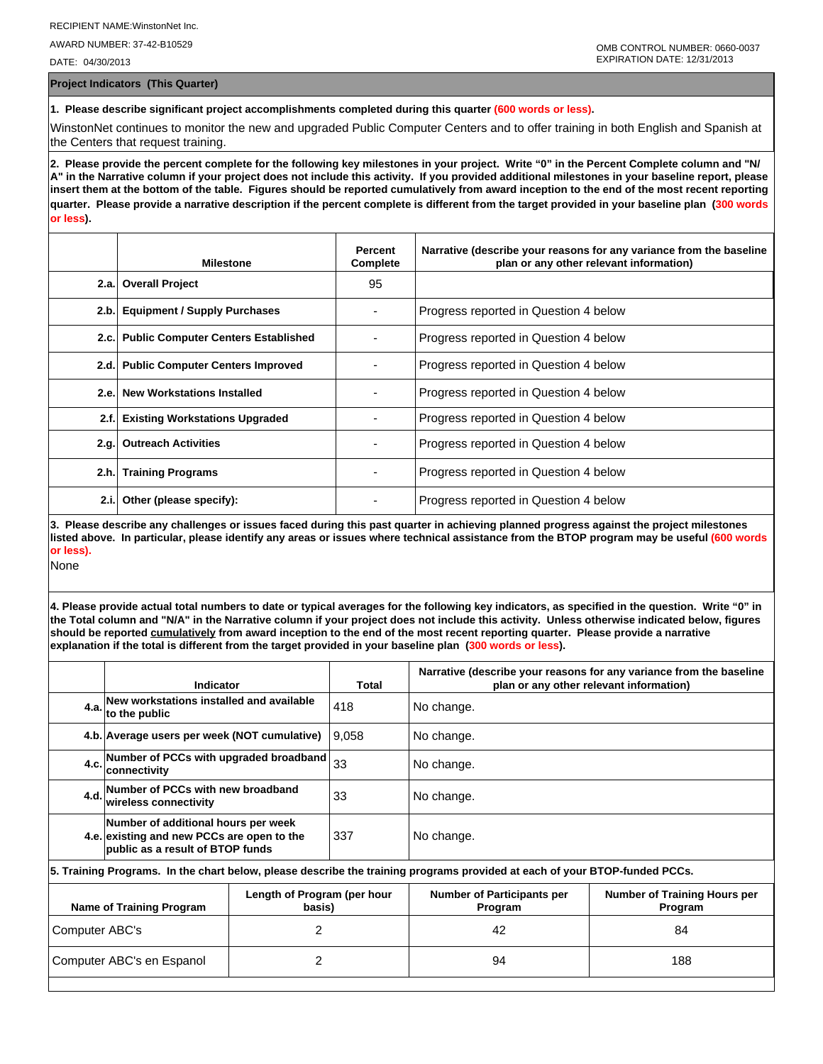AWARD NUMBER: 37-42-B10529

DATE: 04/30/2013

**Project Indicators (This Quarter)**

**1. Please describe significant project accomplishments completed during this quarter (600 words or less).**

WinstonNet continues to monitor the new and upgraded Public Computer Centers and to offer training in both English and Spanish at the Centers that request training.

**2. Please provide the percent complete for the following key milestones in your project. Write "0" in the Percent Complete column and "N/ A" in the Narrative column if your project does not include this activity. If you provided additional milestones in your baseline report, please insert them at the bottom of the table. Figures should be reported cumulatively from award inception to the end of the most recent reporting quarter. Please provide a narrative description if the percent complete is different from the target provided in your baseline plan (300 words or less).**

|       | <b>Milestone</b>                         | <b>Percent</b><br>Complete | Narrative (describe your reasons for any variance from the baseline<br>plan or any other relevant information) |
|-------|------------------------------------------|----------------------------|----------------------------------------------------------------------------------------------------------------|
|       | 2.a. Overall Project                     | 95                         |                                                                                                                |
| 2.b.  | <b>Equipment / Supply Purchases</b>      |                            | Progress reported in Question 4 below                                                                          |
|       | 2.c. Public Computer Centers Established |                            | Progress reported in Question 4 below                                                                          |
|       | 2.d. Public Computer Centers Improved    |                            | Progress reported in Question 4 below                                                                          |
| 2.e.  | <b>New Workstations Installed</b>        |                            | Progress reported in Question 4 below                                                                          |
| 2.f.  | <b>Existing Workstations Upgraded</b>    |                            | Progress reported in Question 4 below                                                                          |
|       | 2.g. Outreach Activities                 |                            | Progress reported in Question 4 below                                                                          |
|       | 2.h. Training Programs                   |                            | Progress reported in Question 4 below                                                                          |
| 2.i.l | Other (please specify):                  |                            | Progress reported in Question 4 below                                                                          |

**3. Please describe any challenges or issues faced during this past quarter in achieving planned progress against the project milestones listed above. In particular, please identify any areas or issues where technical assistance from the BTOP program may be useful (600 words or less).**

None

**4. Please provide actual total numbers to date or typical averages for the following key indicators, as specified in the question. Write "0" in the Total column and "N/A" in the Narrative column if your project does not include this activity. Unless otherwise indicated below, figures should be reported cumulatively from award inception to the end of the most recent reporting quarter. Please provide a narrative explanation if the total is different from the target provided in your baseline plan (300 words or less).** 

|                                                                          | Indicator                                                                                                                  |  | Total                                        | Narrative (describe your reasons for any variance from the baseline<br>plan or any other relevant information) |  |  |
|--------------------------------------------------------------------------|----------------------------------------------------------------------------------------------------------------------------|--|----------------------------------------------|----------------------------------------------------------------------------------------------------------------|--|--|
|                                                                          | 4.a. New workstations installed and available<br>to the public                                                             |  | 418                                          | No change.                                                                                                     |  |  |
|                                                                          | 4.b. Average users per week (NOT cumulative)                                                                               |  | 9.058                                        | No change.                                                                                                     |  |  |
|                                                                          | Number of PCCs with upgraded broadband<br>4.c.<br>connectivity                                                             |  | 33                                           | No change.                                                                                                     |  |  |
|                                                                          | 4.d. Number of PCCs with new broadband<br>wireless connectivity                                                            |  | 33                                           | No change.                                                                                                     |  |  |
|                                                                          | Number of additional hours per week<br>4.e. existing and new PCCs are open to the<br>public as a result of BTOP funds      |  | 337                                          | No change.                                                                                                     |  |  |
|                                                                          | 5. Training Programs. In the chart below, please describe the training programs provided at each of your BTOP-funded PCCs. |  |                                              |                                                                                                                |  |  |
| Length of Program (per hour<br><b>Name of Training Program</b><br>basis) |                                                                                                                            |  | <b>Number of Participants per</b><br>Program | <b>Number of Training Hours per</b><br>Program                                                                 |  |  |
| 2<br>Computer ABC's                                                      |                                                                                                                            |  | 42<br>84                                     |                                                                                                                |  |  |
| 2<br>Computer ABC's en Espanol                                           |                                                                                                                            |  | 94                                           | 188                                                                                                            |  |  |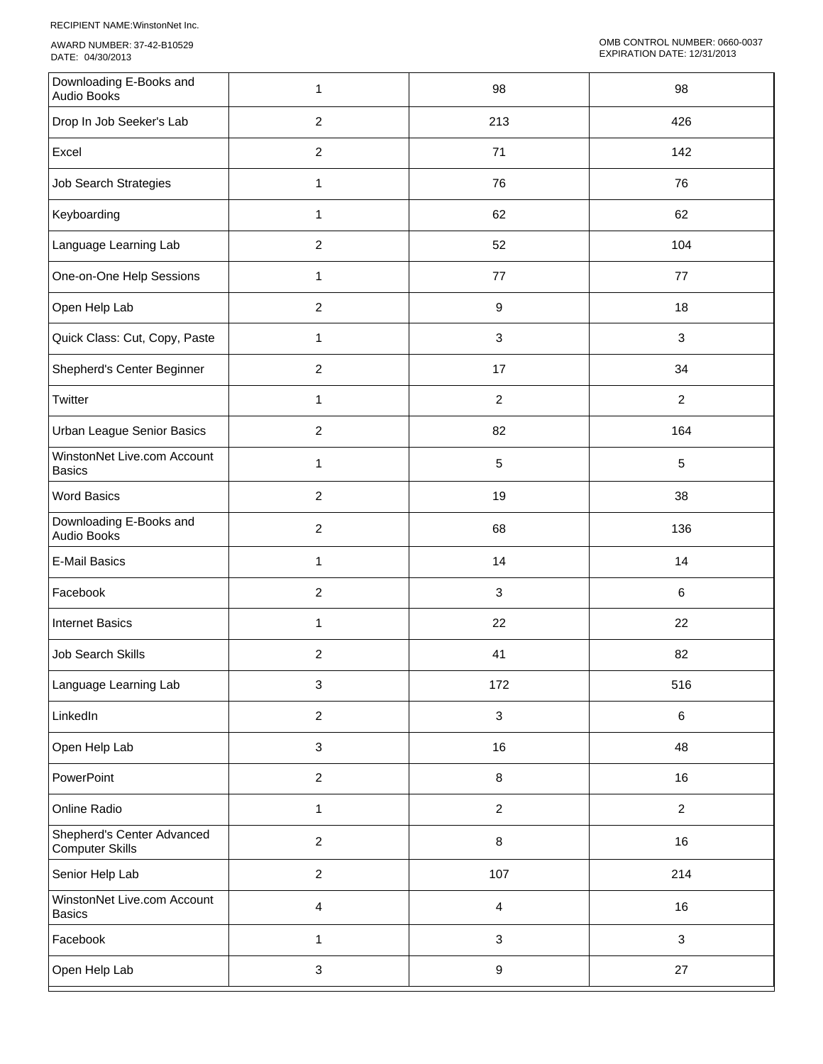RECIPIENT NAME:WinstonNet Inc.

AWARD NUMBER: 37-42-B10529 DATE: 04/30/2013

| Downloading E-Books and<br>Audio Books               | 1                         | 98                        | 98             |
|------------------------------------------------------|---------------------------|---------------------------|----------------|
| Drop In Job Seeker's Lab                             | $\overline{2}$            | 213                       | 426            |
| Excel                                                | $\overline{2}$            | 71                        | 142            |
| <b>Job Search Strategies</b>                         | $\mathbf{1}$              | 76                        | 76             |
| Keyboarding                                          | $\mathbf{1}$              | 62                        | 62             |
| Language Learning Lab                                | $\overline{c}$            | 52                        | 104            |
| One-on-One Help Sessions                             | $\mathbf{1}$              | $77\,$                    | 77             |
| Open Help Lab                                        | $\overline{c}$            | $\boldsymbol{9}$          | 18             |
| Quick Class: Cut, Copy, Paste                        | 1                         | $\ensuremath{\mathsf{3}}$ | $\mathbf{3}$   |
| Shepherd's Center Beginner                           | $\overline{c}$            | 17                        | 34             |
| Twitter                                              | $\mathbf{1}$              | $\overline{c}$            | $\overline{2}$ |
| Urban League Senior Basics                           | $\boldsymbol{2}$          | 82                        | 164            |
| WinstonNet Live.com Account<br><b>Basics</b>         | 1                         | 5                         | $\sqrt{5}$     |
| <b>Word Basics</b>                                   | $\overline{c}$            | 19                        | 38             |
| Downloading E-Books and<br>Audio Books               | $\overline{2}$            | 68                        | 136            |
| <b>E-Mail Basics</b>                                 | $\mathbf{1}$              | 14                        | 14             |
| Facebook                                             | $\boldsymbol{2}$          | $\mathfrak{S}$            | 6              |
| <b>Internet Basics</b>                               | $\mathbf{1}$              | 22                        | 22             |
| <b>Job Search Skills</b>                             | $\overline{c}$            | 41                        | 82             |
| Language Learning Lab                                | $\ensuremath{\mathsf{3}}$ | 172                       | 516            |
| LinkedIn                                             | $\overline{2}$            | $\mathbf{3}$              | $\,6\,$        |
| Open Help Lab                                        | $\mathbf{3}$              | 16                        | 48             |
| PowerPoint                                           | $\overline{2}$            | $\,8\,$                   | 16             |
| Online Radio                                         | $\mathbf{1}$              | $\sqrt{2}$                | $\overline{2}$ |
| Shepherd's Center Advanced<br><b>Computer Skills</b> | $\overline{c}$            | 8                         | 16             |
| Senior Help Lab                                      | $\overline{2}$            | 107                       | 214            |
| WinstonNet Live.com Account<br><b>Basics</b>         | $\overline{4}$            | $\overline{4}$            | 16             |
| Facebook                                             | $\mathbf{1}$              | $\sqrt{3}$                | $\mathbf{3}$   |
| Open Help Lab                                        | $\ensuremath{\mathsf{3}}$ | $\boldsymbol{9}$          | 27             |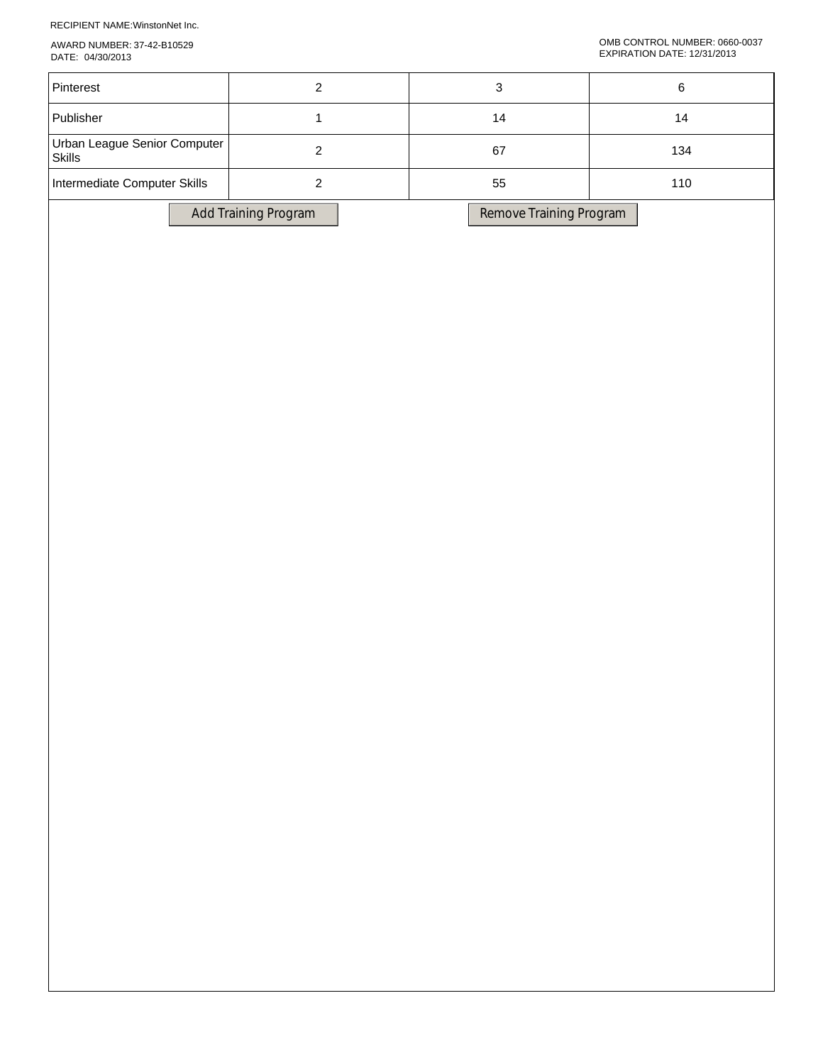RECIPIENT NAME:WinstonNet Inc.

AWARD NUMBER: 37-42-B10529 DATE: 04/30/2013

| Pinterest                                     |                      |                         |     |  |
|-----------------------------------------------|----------------------|-------------------------|-----|--|
| Publisher                                     |                      | 14                      | 14  |  |
| Urban League Senior Computer<br><b>Skills</b> |                      | 67                      | 134 |  |
| Intermediate Computer Skills                  |                      | 55                      | 110 |  |
|                                               | Add Training Program | Remove Training Program |     |  |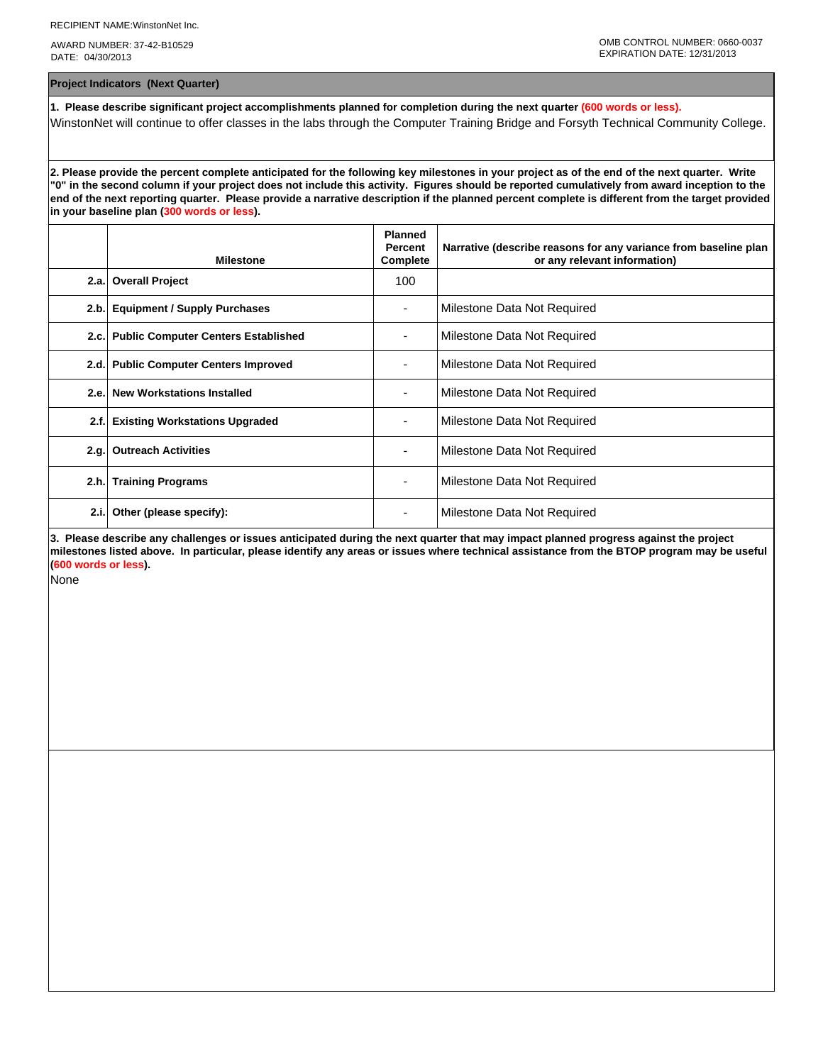AWARD NUMBER: 37-42-B10529 DATE: 04/30/2013

**Project Indicators (Next Quarter)**

**1. Please describe significant project accomplishments planned for completion during the next quarter (600 words or less).** WinstonNet will continue to offer classes in the labs through the Computer Training Bridge and Forsyth Technical Community College.

**2. Please provide the percent complete anticipated for the following key milestones in your project as of the end of the next quarter. Write "0" in the second column if your project does not include this activity. Figures should be reported cumulatively from award inception to the end of the next reporting quarter. Please provide a narrative description if the planned percent complete is different from the target provided in your baseline plan (300 words or less).**

|      | <b>Milestone</b>                         | <b>Planned</b><br>Percent<br>Complete | Narrative (describe reasons for any variance from baseline plan<br>or any relevant information) |
|------|------------------------------------------|---------------------------------------|-------------------------------------------------------------------------------------------------|
|      | 2.a. Overall Project                     | 100                                   |                                                                                                 |
| 2.b. | <b>Equipment / Supply Purchases</b>      |                                       | Milestone Data Not Required                                                                     |
|      | 2.c. Public Computer Centers Established |                                       | Milestone Data Not Required                                                                     |
|      | 2.d. Public Computer Centers Improved    |                                       | Milestone Data Not Required                                                                     |
| 2.e. | <b>New Workstations Installed</b>        |                                       | Milestone Data Not Required                                                                     |
| 2.f. | <b>Existing Workstations Upgraded</b>    |                                       | Milestone Data Not Required                                                                     |
| 2.g. | <b>Outreach Activities</b>               |                                       | Milestone Data Not Required                                                                     |
| 2.h. | <b>Training Programs</b>                 | ٠                                     | Milestone Data Not Required                                                                     |
| 2.i. | Other (please specify):                  |                                       | Milestone Data Not Required                                                                     |

**3. Please describe any challenges or issues anticipated during the next quarter that may impact planned progress against the project milestones listed above. In particular, please identify any areas or issues where technical assistance from the BTOP program may be useful (600 words or less).**

None